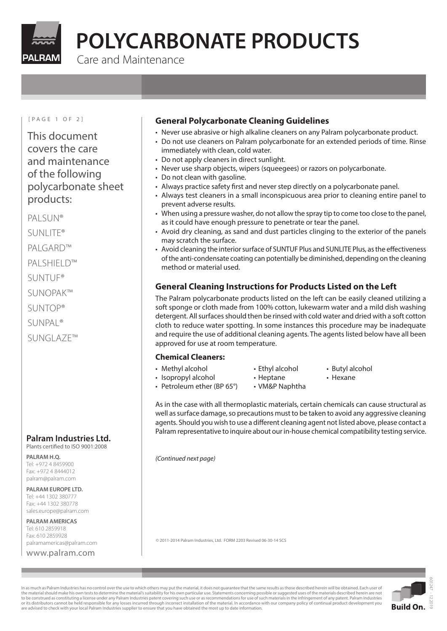

# **POLYCARBONATE PRODUCTS**

Care and Maintenance

#### [PAGE 1 OF 2]

This document covers the care and maintenance of the following polycarbonate sheet products:

PALSUN®

SUNLITE®

PALGARD™

PALSHIFLD™

- SUNTUF®
- SUNOPAK™
- SUNTOP®

SUNPAL®

SUNGLAZE™

#### **Palram Industries Ltd.** Plants certified to ISO 9001:2008

**PALRAM H.Q.** Tel: +972 4 8459900

Fax: +972 4 8444012 palram@palram.com

**PALRAM EUROPE LTD.** Tel: +44 1302 380777 Fax: +44 1302 380778 sales.europe@palram.com

**PALRAM AMERICAS** Tel: 610 2859918 Fax: 610 2859928 palramamericas@palram.com

#### www.palram.com

### **General Polycarbonate Cleaning Guidelines**

- Never use abrasive or high alkaline cleaners on any Palram polycarbonate product.
- Do not use cleaners on Palram polycarbonate for an extended periods of time. Rinse immediately with clean, cold water.
- Do not apply cleaners in direct sunlight.
- Never use sharp objects, wipers (squeegees) or razors on polycarbonate.
- Do not clean with gasoline.
- Always practice safety first and never step directly on a polycarbonate panel.
- Always test cleaners in a small inconspicuous area prior to cleaning entire panel to prevent adverse results.
- When using a pressure washer, do not allow the spray tip to come too close to the panel, as it could have enough pressure to penetrate or tear the panel.
- Avoid dry cleaning, as sand and dust particles clinging to the exterior of the panels may scratch the surface.
- Avoid cleaning the interior surface of SUNTUF Plus and SUNLITE Plus, as the effectiveness of the anti-condensate coating can potentially be diminished, depending on the cleaning method or material used.

# **General Cleaning Instructions for Products Listed on the Left**

The Palram polycarbonate products listed on the left can be easily cleaned utilizing a soft sponge or cloth made from 100% cotton, lukewarm water and a mild dish washing detergent. All surfaces should then be rinsed with cold water and dried with a soft cotton cloth to reduce water spotting. In some instances this procedure may be inadequate and require the use of additional cleaning agents. The agents listed below have all been approved for use at room temperature.

#### **Chemical Cleaners:**

- Methyl alcohol Fthyl alcohol Butyl alcohol
	-
- Isopropyl alcohol Heptane Hexane
- 
- Petroleum ether (BP 65°) VM&P Naphtha
- 
- 
- 

As in the case with all thermoplastic materials, certain chemicals can cause structural as well as surface damage, so precautions must to be taken to avoid any aggressive cleaning agents. Should you wish to use a different cleaning agent not listed above, please contact a Palram representative to inquire about our in-house chemical compatibility testing service.

*(Continued next page)*

© 2011-2014 Palram Industries, Ltd. FORM 2203 Revised 06-30-14 SCS



In as much as Palram Industries has no control over the use to which others may put the material, it does not quarantee that the same results as those described herein will be obtained. Each user of the material should make his own tests to determine the material's suitability for his own particular use. Statements concerning possible or suggested uses of the materials described herein are not to be construed as constituting a license under any Palram Industries patent covering such use or as recommendations for use of such materials in the infringement of any patent. Palram Industries or its distributors cannot be held responsible for any losses incurred through incorrect installation of the material. In accordance with our company policy of continual product development you are advised to check with your local Palram Industries supplier to ensure that you have obtained the most up to date information.